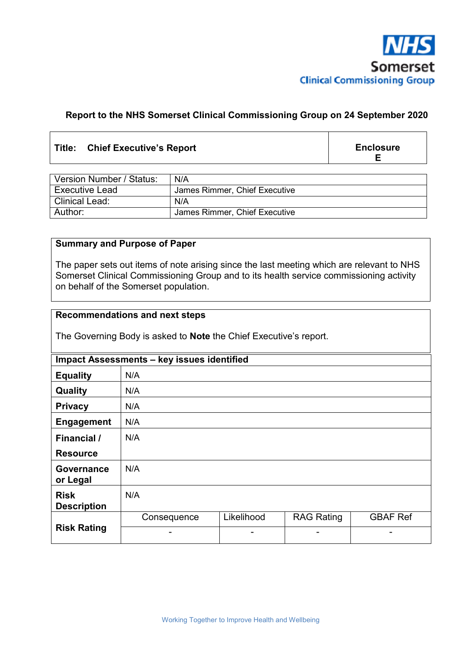

### **Report to the NHS Somerset Clinical Commissioning Group on 24 September 2020**

### **Title: Chief Executive's Report**

**Enclosure E** 

| Version Number / Status: | N/A                           |
|--------------------------|-------------------------------|
| <b>Executive Lead</b>    | James Rimmer, Chief Executive |
| <b>Clinical Lead:</b>    | N/A                           |
| Author:                  | James Rimmer, Chief Executive |

### **Summary and Purpose of Paper**

The paper sets out items of note arising since the last meeting which are relevant to NHS Somerset Clinical Commissioning Group and to its health service commissioning activity on behalf of the Somerset population.

#### **Recommendations and next steps**

The Governing Body is asked to **Note** the Chief Executive's report.

| Impact Assessments - key issues identified |             |            |                   |                 |  |  |
|--------------------------------------------|-------------|------------|-------------------|-----------------|--|--|
| <b>Equality</b>                            | N/A         |            |                   |                 |  |  |
| Quality                                    | N/A         |            |                   |                 |  |  |
| <b>Privacy</b>                             | N/A         |            |                   |                 |  |  |
| <b>Engagement</b>                          | N/A         |            |                   |                 |  |  |
| <b>Financial</b> /                         | N/A         |            |                   |                 |  |  |
| <b>Resource</b>                            |             |            |                   |                 |  |  |
| Governance<br>or Legal                     | N/A         |            |                   |                 |  |  |
| <b>Risk</b><br><b>Description</b>          | N/A         |            |                   |                 |  |  |
| <b>Risk Rating</b>                         | Consequence | Likelihood | <b>RAG Rating</b> | <b>GBAF Ref</b> |  |  |
|                                            |             | -          |                   |                 |  |  |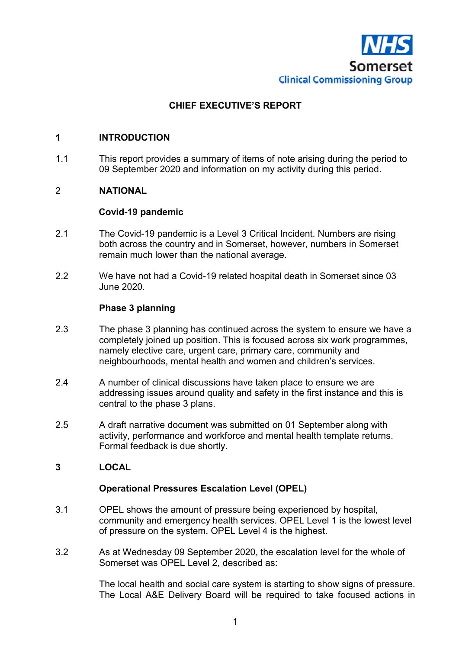

# **CHIEF EXECUTIVE'S REPORT**

### **1 INTRODUCTION**

1.1 This report provides a summary of items of note arising during the period to 09 September 2020 and information on my activity during this period.

### 2 **NATIONAL**

#### **Covid-19 pandemic**

- 2.1 The Covid-19 pandemic is a Level 3 Critical Incident. Numbers are rising both across the country and in Somerset, however, numbers in Somerset remain much lower than the national average.
- 2.2 We have not had a Covid-19 related hospital death in Somerset since 03 June 2020.

#### **Phase 3 planning**

- 2.3 The phase 3 planning has continued across the system to ensure we have a completely joined up position. This is focused across six work programmes, namely elective care, urgent care, primary care, community and neighbourhoods, mental health and women and children's services.
- 2.4 A number of clinical discussions have taken place to ensure we are addressing issues around quality and safety in the first instance and this is central to the phase 3 plans.
- 2.5 A draft narrative document was submitted on 01 September along with activity, performance and workforce and mental health template returns. Formal feedback is due shortly.

### **3 LOCAL**

#### **Operational Pressures Escalation Level (OPEL)**

- 3.1 OPEL shows the amount of pressure being experienced by hospital, community and emergency health services. OPEL Level 1 is the lowest level of pressure on the system. OPEL Level 4 is the highest.
- 3.2 As at Wednesday 09 September 2020, the escalation level for the whole of Somerset was OPEL Level 2, described as:

The local health and social care system is starting to show signs of pressure. The Local A&E Delivery Board will be required to take focused actions in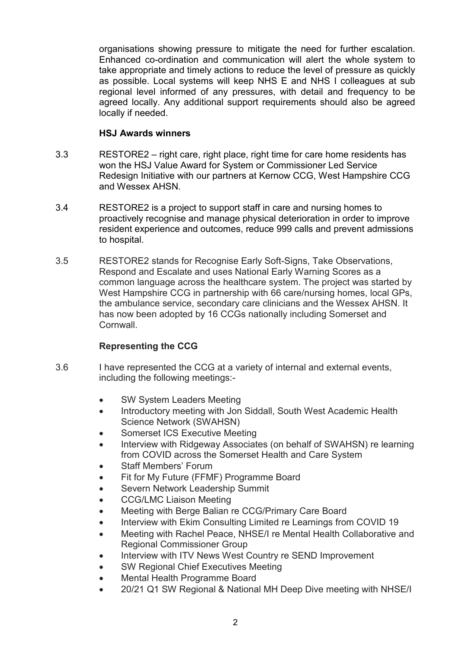organisations showing pressure to mitigate the need for further escalation. Enhanced co-ordination and communication will alert the whole system to take appropriate and timely actions to reduce the level of pressure as quickly as possible. Local systems will keep NHS E and NHS I colleagues at sub regional level informed of any pressures, with detail and frequency to be agreed locally. Any additional support requirements should also be agreed locally if needed.

### **HSJ Awards winners**

- 3.3 RESTORE2 right care, right place, right time for care home residents has won the HSJ Value Award for System or Commissioner Led Service Redesign Initiative with our partners at Kernow CCG, West Hampshire CCG and Wessex AHSN.
- 3.4 RESTORE2 is a project to support staff in care and nursing homes to proactively recognise and manage physical deterioration in order to improve resident experience and outcomes, reduce 999 calls and prevent admissions to hospital.
- 3.5 RESTORE2 stands for Recognise Early Soft-Signs, Take Observations, Respond and Escalate and uses National Early Warning Scores as a common language across the healthcare system. The project was started by West Hampshire CCG in partnership with 66 care/nursing homes, local GPs, the ambulance service, secondary care clinicians and the Wessex AHSN. It has now been adopted by 16 CCGs nationally including Somerset and Cornwall.

## **Representing the CCG**

- 3.6 I have represented the CCG at a variety of internal and external events, including the following meetings:-
	- SW System Leaders Meeting
	- Introductory meeting with Jon Siddall, South West Academic Health Science Network (SWAHSN)
	- Somerset ICS Executive Meeting
	- Interview with Ridgeway Associates (on behalf of SWAHSN) re learning from COVID across the Somerset Health and Care System
	- Staff Members' Forum
	- Fit for My Future (FFMF) Programme Board
	- Severn Network Leadership Summit
	- CCG/LMC Liaison Meeting
	- Meeting with Berge Balian re CCG/Primary Care Board
	- Interview with Ekim Consulting Limited re Learnings from COVID 19
	- Meeting with Rachel Peace, NHSE/I re Mental Health Collaborative and Regional Commissioner Group
	- Interview with ITV News West Country re SEND Improvement
	- SW Regional Chief Executives Meeting
	- Mental Health Programme Board
	- 20/21 Q1 SW Regional & National MH Deep Dive meeting with NHSE/I